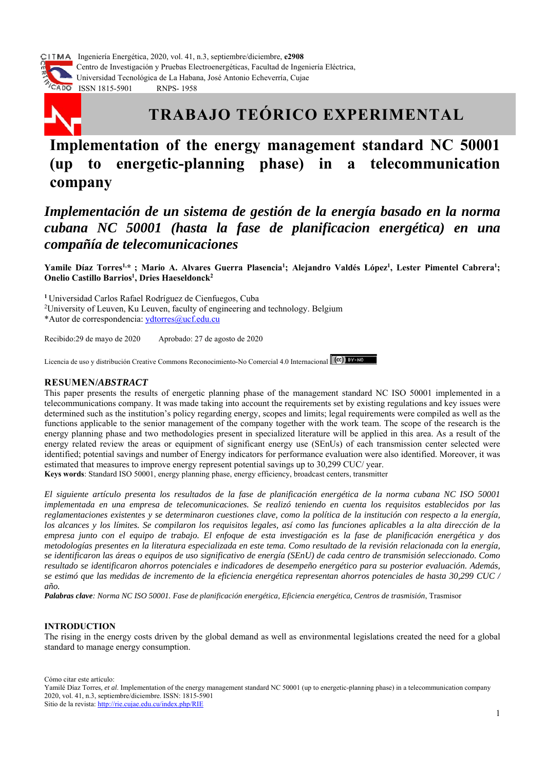

 Ingeniería Energética, 2020, vol. 41, n.3, septiembre/diciembre, **e2908** Centro de Investigación y Pruebas Electroenergéticas, Facultad de Ingeniería Eléctrica, Universidad Tecnológica de La Habana, José Antonio Echeverría, Cujae **EXPLORED SERVICES AND RUNAWAY RNPS- 1958** 



# **TRABAJO TEÓRICO EXPERIMENTAL**

## **Implementation of the energy management standard NC 50001 (up to energetic-planning phase) in a telecommunication company**

## *Implementación de un sistema de gestión de la energía basado en la norma cubana NC 50001 (hasta la fase de planificacion energética) en una compañía de telecomunicaciones*

Yamile Díaz Torres<sup>1,\*</sup>; Mario A. Alvares Guerra Plasencia<sup>1</sup>; Alejandro Valdés López<sup>1</sup>, Lester Pimentel Cabrera<sup>1</sup>; **Onelio Castillo Barrios1 , Dries Haeseldonck2** 

**<sup>1</sup>** Universidad Carlos Rafael Rodríguez de Cienfuegos, Cuba

2 University of Leuven, Ku Leuven, faculty of engineering and technology. Belgium \*Autor de correspondencia: ydtorres@ucf.edu.cu

Recibido:29 de mayo de 2020 Aprobado: 27 de agosto de 2020

Licencia de uso y distribución Creative Commons Reconocimiento-No Comercial 4.0 Internacional  $\alpha$ 

## **RESUMEN/***ABSTRACT*

This paper presents the results of energetic planning phase of the management standard NC ISO 50001 implemented in a telecommunications company. It was made taking into account the requirements set by existing regulations and key issues were determined such as the institution's policy regarding energy, scopes and limits; legal requirements were compiled as well as the functions applicable to the senior management of the company together with the work team. The scope of the research is the energy planning phase and two methodologies present in specialized literature will be applied in this area. As a result of the energy related review the areas or equipment of significant energy use (SEnUs) of each transmission center selected were identified; potential savings and number of Energy indicators for performance evaluation were also identified. Moreover, it was estimated that measures to improve energy represent potential savings up to 30,299 CUC/ year.

**Keys words**: Standard ISO 50001, energy planning phase, energy efficiency, broadcast centers, transmitter

*El siguiente artículo presenta los resultados de la fase de planificación energética de la norma cubana NC ISO 50001 implementada en una empresa de telecomunicaciones. Se realizó teniendo en cuenta los requisitos establecidos por las reglamentaciones existentes y se determinaron cuestiones clave, como la política de la institución con respecto a la energía, los alcances y los límites. Se compilaron los requisitos legales, así como las funciones aplicables a la alta dirección de la empresa junto con el equipo de trabajo. El enfoque de esta investigación es la fase de planificación energética y dos metodologías presentes en la literatura especializada en este tema. Como resultado de la revisión relacionada con la energía, se identificaron las áreas o equipos de uso significativo de energía (SEnU) de cada centro de transmisión seleccionado. Como resultado se identificaron ahorros potenciales e indicadores de desempeño energético para su posterior evaluación. Además, se estimó que las medidas de incremento de la eficiencia energética representan ahorros potenciales de hasta 30,299 CUC / año.* 

*Palabras clave: Norma NC ISO 50001. Fase de planificación energética, Eficiencia energética, Centros de trasmisión*, Trasmisor

## **INTRODUCTION**

The rising in the energy costs driven by the global demand as well as environmental legislations created the need for a global standard to manage energy consumption.

Cómo citar este artículo:

Yamilé Díaz Torres*, et al*. Implementation of the energy management standard NC 50001 (up to energetic-planning phase) in a telecommunication company 2020, vol. 41, n.3, septiembre/diciembre. ISSN: 1815-5901 Sitio de la revista: http://rie.cujae.edu.cu/index.php/RIE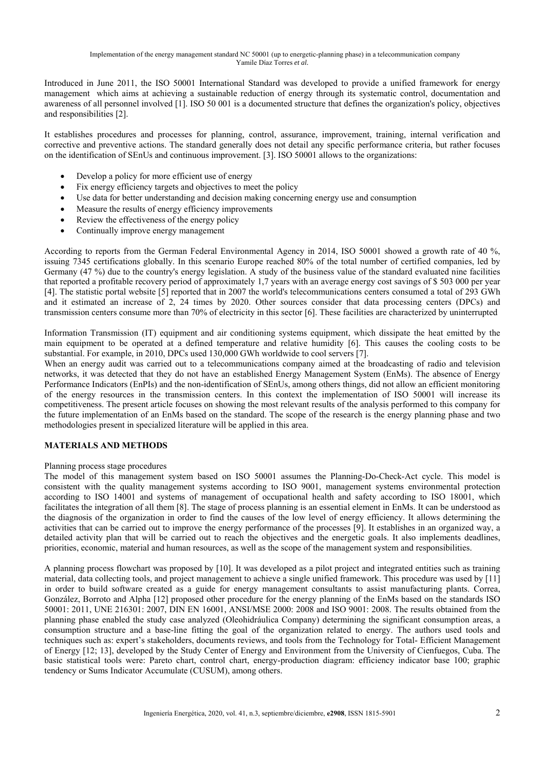Introduced in June 2011, the ISO 50001 International Standard was developed to provide a unified framework for energy management which aims at achieving a sustainable reduction of energy through its systematic control, documentation and awareness of all personnel involved [1]. ISO 50 001 is a documented structure that defines the organization's policy, objectives and responsibilities [2].

It establishes procedures and processes for planning, control, assurance, improvement, training, internal verification and corrective and preventive actions. The standard generally does not detail any specific performance criteria, but rather focuses on the identification of SEnUs and continuous improvement. [3]. ISO 50001 allows to the organizations:

- Develop a policy for more efficient use of energy
- Fix energy efficiency targets and objectives to meet the policy
- Use data for better understanding and decision making concerning energy use and consumption
- Measure the results of energy efficiency improvements
- Review the effectiveness of the energy policy
- Continually improve energy management

According to reports from the German Federal Environmental Agency in 2014, ISO 50001 showed a growth rate of 40 %, issuing 7345 certifications globally. In this scenario Europe reached 80% of the total number of certified companies, led by Germany (47 %) due to the country's energy legislation. A study of the business value of the standard evaluated nine facilities that reported a profitable recovery period of approximately 1,7 years with an average energy cost savings of \$ 503 000 per year [4]. The statistic portal website [5] reported that in 2007 the world's telecommunications centers consumed a total of 293 GWh and it estimated an increase of 2, 24 times by 2020. Other sources consider that data processing centers (DPCs) and transmission centers consume more than 70% of electricity in this sector [6]. These facilities are characterized by uninterrupted

Information Transmission (IT) equipment and air conditioning systems equipment, which dissipate the heat emitted by the main equipment to be operated at a defined temperature and relative humidity [6]. This causes the cooling costs to be substantial. For example, in 2010, DPCs used 130,000 GWh worldwide to cool servers [7].

When an energy audit was carried out to a telecommunications company aimed at the broadcasting of radio and television networks, it was detected that they do not have an established Energy Management System (EnMs). The absence of Energy Performance Indicators (EnPIs) and the non-identification of SEnUs, among others things, did not allow an efficient monitoring of the energy resources in the transmission centers. In this context the implementation of ISO 50001 will increase its competitiveness. The present article focuses on showing the most relevant results of the analysis performed to this company for the future implementation of an EnMs based on the standard. The scope of the research is the energy planning phase and two methodologies present in specialized literature will be applied in this area.

## **MATERIALS AND METHODS**

## Planning process stage procedures

The model of this management system based on ISO 50001 assumes the Planning-Do-Check-Act cycle. This model is consistent with the quality management systems according to ISO 9001, management systems environmental protection according to ISO 14001 and systems of management of occupational health and safety according to ISO 18001, which facilitates the integration of all them [8]. The stage of process planning is an essential element in EnMs. It can be understood as the diagnosis of the organization in order to find the causes of the low level of energy efficiency. It allows determining the activities that can be carried out to improve the energy performance of the processes [9]. It establishes in an organized way, a detailed activity plan that will be carried out to reach the objectives and the energetic goals. It also implements deadlines, priorities, economic, material and human resources, as well as the scope of the management system and responsibilities.

A planning process flowchart was proposed by [10]. It was developed as a pilot project and integrated entities such as training material, data collecting tools, and project management to achieve a single unified framework. This procedure was used by [11] in order to build software created as a guide for energy management consultants to assist manufacturing plants. Correa, González, Borroto and Alpha [12] proposed other procedure for the energy planning of the EnMs based on the standards ISO 50001: 2011, UNE 216301: 2007, DIN EN 16001, ANSI/MSE 2000: 2008 and ISO 9001: 2008. The results obtained from the planning phase enabled the study case analyzed (Oleohidráulica Company) determining the significant consumption areas, a consumption structure and a base-line fitting the goal of the organization related to energy. The authors used tools and techniques such as: expert's stakeholders, documents reviews, and tools from the Technology for Total- Efficient Management of Energy [12; 13], developed by the Study Center of Energy and Environment from the University of Cienfuegos, Cuba. The basic statistical tools were: Pareto chart, control chart, energy-production diagram: efficiency indicator base 100; graphic tendency or Sums Indicator Accumulate (CUSUM), among others.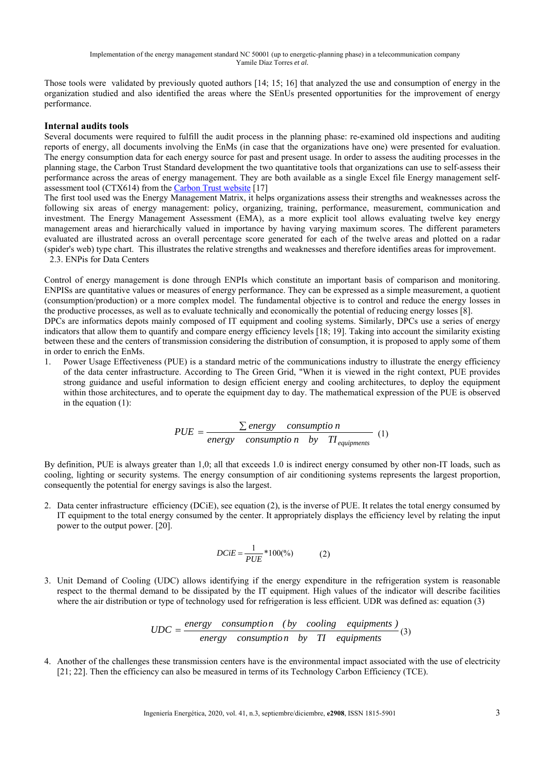Those tools were validated by previously quoted authors [14; 15; 16] that analyzed the use and consumption of energy in the organization studied and also identified the areas where the SEnUs presented opportunities for the improvement of energy performance.

## **Internal audits tools**

Several documents were required to fulfill the audit process in the planning phase: re-examined old inspections and auditing reports of energy, all documents involving the EnMs (in case that the organizations have one) were presented for evaluation. The energy consumption data for each energy source for past and present usage. In order to assess the auditing processes in the planning stage, the Carbon Trust Standard development the two quantitative tools that organizations can use to self-assess their performance across the areas of energy management. They are both available as a single Excel file Energy management selfassessment tool (CTX614) from the Carbon Trust website [17]

The first tool used was the Energy Management Matrix, it helps organizations assess their strengths and weaknesses across the following six areas of energy management: policy, organizing, training, performance, measurement, communication and investment. The Energy Management Assessment (EMA), as a more explicit tool allows evaluating twelve key energy management areas and hierarchically valued in importance by having varying maximum scores. The different parameters evaluated are illustrated across an overall percentage score generated for each of the twelve areas and plotted on a radar (spider's web) type chart. This illustrates the relative strengths and weaknesses and therefore identifies areas for improvement. 2.3. ENPis for Data Centers

Control of energy management is done through ENPIs which constitute an important basis of comparison and monitoring. ENPISs are quantitative values or measures of energy performance. They can be expressed as a simple measurement, a quotient (consumption/production) or a more complex model. The fundamental objective is to control and reduce the energy losses in the productive processes, as well as to evaluate technically and economically the potential of reducing energy losses [8].

DPCs are informatics depots mainly composed of IT equipment and cooling systems. Similarly, DPCs use a series of energy indicators that allow them to quantify and compare energy efficiency levels [18; 19]. Taking into account the similarity existing between these and the centers of transmission considering the distribution of consumption, it is proposed to apply some of them in order to enrich the EnMs.

1. Power Usage Effectiveness (PUE) is a standard metric of the communications industry to illustrate the energy efficiency of the data center infrastructure. According to The Green Grid, "When it is viewed in the right context, PUE provides strong guidance and useful information to design efficient energy and cooling architectures, to deploy the equipment within those architectures, and to operate the equipment day to day. The mathematical expression of the PUE is observed in the equation (1):

$$
PUE = \frac{\sum energy \quad consumption}{energy \quad consumption \quad by \quad TI_{equipments}} \quad (1)
$$

By definition, PUE is always greater than 1,0; all that exceeds 1.0 is indirect energy consumed by other non-IT loads, such as cooling, lighting or security systems. The energy consumption of air conditioning systems represents the largest proportion, consequently the potential for energy savings is also the largest.

2. Data center infrastructure efficiency (DCiE), see equation (2), is the inverse of PUE. It relates the total energy consumed by IT equipment to the total energy consumed by the center. It appropriately displays the efficiency level by relating the input power to the output power. [20].

$$
DCIE = \frac{1}{PUE} * 100\%) \tag{2}
$$

3. Unit Demand of Cooling (UDC) allows identifying if the energy expenditure in the refrigeration system is reasonable respect to the thermal demand to be dissipated by the IT equipment. High values of the indicator will describe facilities where the air distribution or type of technology used for refrigeration is less efficient. UDR was defined as: equation (3)

$$
UDC = \frac{energy \quad consumption \quad (by \quad cooling \quad equipments \quad)}{energy \quad consumption \quad by \quad TI \quad equipments} \tag{3}
$$

4. Another of the challenges these transmission centers have is the environmental impact associated with the use of electricity [21; 22]. Then the efficiency can also be measured in terms of its Technology Carbon Efficiency (TCE).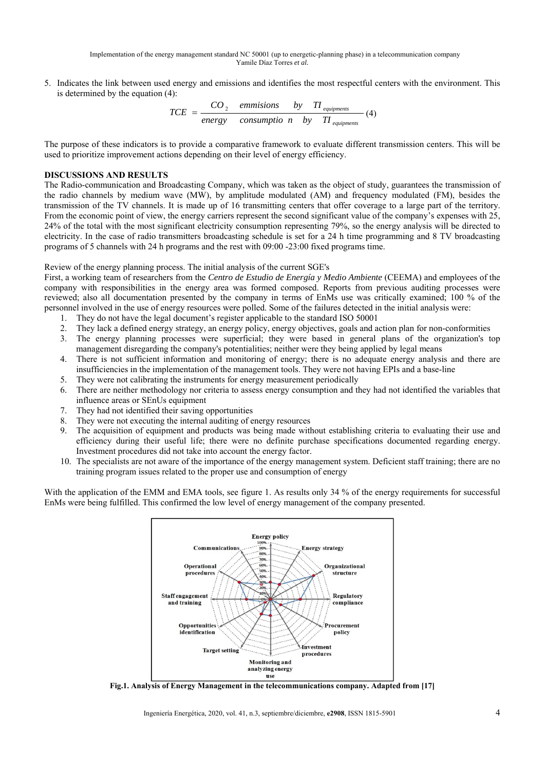5. Indicates the link between used energy and emissions and identifies the most respectful centers with the environment. This is determined by the equation (4):

$$
TCE = \frac{CO_2 \quad \text{emmissions} \quad \text{by} \quad \text{TI} \, \text{equipments}}{\text{energy} \quad \text{consumption} \quad \text{by} \quad \text{TI} \, \text{equipments}} \tag{4}
$$

The purpose of these indicators is to provide a comparative framework to evaluate different transmission centers. This will be used to prioritize improvement actions depending on their level of energy efficiency.

## **DISCUSSIONS AND RESULTS**

The Radio-communication and Broadcasting Company, which was taken as the object of study, guarantees the transmission of the radio channels by medium wave (MW), by amplitude modulated (AM) and frequency modulated (FM), besides the transmission of the TV channels. It is made up of 16 transmitting centers that offer coverage to a large part of the territory. From the economic point of view, the energy carriers represent the second significant value of the company's expenses with 25, 24% of the total with the most significant electricity consumption representing 79%, so the energy analysis will be directed to electricity. In the case of radio transmitters broadcasting schedule is set for a 24 h time programming and 8 TV broadcasting programs of 5 channels with 24 h programs and the rest with 09:00 -23:00 fixed programs time.

## Review of the energy planning process. The initial analysis of the current SGE's

First, a working team of researchers from the *Centro de Estudio de Energía y Medio Ambiente* (CEEMA) and employees of the company with responsibilities in the energy area was formed composed. Reports from previous auditing processes were reviewed; also all documentation presented by the company in terms of EnMs use was critically examined; 100 % of the personnel involved in the use of energy resources were polled. Some of the failures detected in the initial analysis were:

- 1. They do not have the legal document's register applicable to the standard ISO 50001
- 2. They lack a defined energy strategy, an energy policy, energy objectives, goals and action plan for non-conformities
- 3. The energy planning processes were superficial; they were based in general plans of the organization's top management disregarding the company's potentialities; neither were they being applied by legal means
- 4. There is not sufficient information and monitoring of energy; there is no adequate energy analysis and there are insufficiencies in the implementation of the management tools. They were not having EPIs and a base-line
- 5. They were not calibrating the instruments for energy measurement periodically
- 6. There are neither methodology nor criteria to assess energy consumption and they had not identified the variables that influence areas or SEnUs equipment
- 7. They had not identified their saving opportunities
- 8. They were not executing the internal auditing of energy resources
- 9. The acquisition of equipment and products was being made without establishing criteria to evaluating their use and efficiency during their useful life; there were no definite purchase specifications documented regarding energy. Investment procedures did not take into account the energy factor.
- 10. The specialists are not aware of the importance of the energy management system. Deficient staff training; there are no training program issues related to the proper use and consumption of energy

With the application of the EMM and EMA tools, see figure 1. As results only 34 % of the energy requirements for successful EnMs were being fulfilled. This confirmed the low level of energy management of the company presented.



**Fig.1. Analysis of Energy Management in the telecommunications company. Adapted from [17]**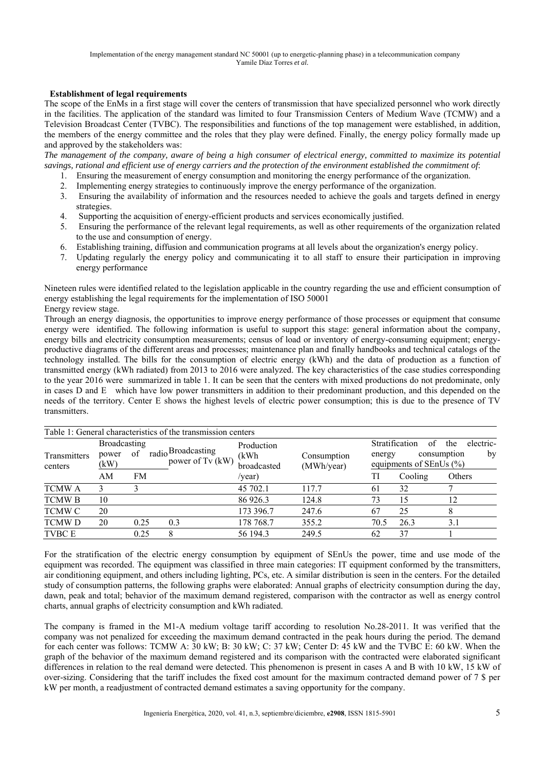## **Establishment of legal requirements**

The scope of the EnMs in a first stage will cover the centers of transmission that have specialized personnel who work directly in the facilities. The application of the standard was limited to four Transmission Centers of Medium Wave (TCMW) and a Television Broadcast Center (TVBC). The responsibilities and functions of the top management were established, in addition, the members of the energy committee and the roles that they play were defined. Finally, the energy policy formally made up and approved by the stakeholders was:

*The management of the company, aware of being a high consumer of electrical energy, committed to maximize its potential savings, rational and efficient use of energy carriers and the protection of the environment established the commitment of*:

- 1. Ensuring the measurement of energy consumption and monitoring the energy performance of the organization.
- 2. Implementing energy strategies to continuously improve the energy performance of the organization.
- 3. Ensuring the availability of information and the resources needed to achieve the goals and targets defined in energy strategies.
- 4. Supporting the acquisition of energy-efficient products and services economically justified.
- 5. Ensuring the performance of the relevant legal requirements, as well as other requirements of the organization related to the use and consumption of energy.
- 6. Establishing training, diffusion and communication programs at all levels about the organization's energy policy.
- 7. Updating regularly the energy policy and communicating it to all staff to ensure their participation in improving energy performance

Nineteen rules were identified related to the legislation applicable in the country regarding the use and efficient consumption of energy establishing the legal requirements for the implementation of ISO 50001 Energy review stage.

Through an energy diagnosis, the opportunities to improve energy performance of those processes or equipment that consume energy were identified. The following information is useful to support this stage: general information about the company, energy bills and electricity consumption measurements; census of load or inventory of energy-consuming equipment; energyproductive diagrams of the different areas and processes; maintenance plan and finally handbooks and technical catalogs of the technology installed. The bills for the consumption of electric energy (kWh) and the data of production as a function of transmitted energy (kWh radiated) from 2013 to 2016 were analyzed. The key characteristics of the case studies corresponding to the year 2016 were summarized in table 1. It can be seen that the centers with mixed productions do not predominate, only in cases D and E which have low power transmitters in addition to their predominant production, and this depended on the needs of the territory. Center E shows the highest levels of electric power consumption; this is due to the presence of TV transmitters.

|                         |                                            |      | Table 1: General characteristics of the transmission centers |                                   |                           |                                                                                                        |         |        |
|-------------------------|--------------------------------------------|------|--------------------------------------------------------------|-----------------------------------|---------------------------|--------------------------------------------------------------------------------------------------------|---------|--------|
| Transmitters<br>centers | <b>Broadcasting</b><br>of<br>power<br>(kW) |      | radio Broadcasting<br>power of Tv (kW)                       | Production<br>(kWh<br>broadcasted | Consumption<br>(MWh/year) | Stratification<br>electric-<br>of<br>the<br>by<br>consumption<br>energy<br>equipments of SEnUs $(\% )$ |         |        |
|                         | AM                                         | FM   |                                                              | /year)                            |                           | TI                                                                                                     | Cooling | Others |
| <b>TCMWA</b>            |                                            |      |                                                              | 45 702.1                          | 1177                      | 61                                                                                                     | 32      |        |
| <b>TCMWB</b>            | 10                                         |      |                                                              | 86 926.3                          | 124.8                     | 73                                                                                                     | 15      | 12     |
| <b>TCMW C</b>           | 20                                         |      |                                                              | 173 396.7                         | 247.6                     | 67                                                                                                     | 25      |        |
| <b>TCMWD</b>            | 20                                         | 0.25 | 0.3                                                          | 178 768.7                         | 355.2                     | 70.5                                                                                                   | 26.3    | 3.1    |
| <b>TVBC E</b>           |                                            | 0.25 | 8                                                            | 56 194.3                          | 249.5                     | 62                                                                                                     | 37      |        |

Table 1: General characteristics of the transmission centers

For the stratification of the electric energy consumption by equipment of SEnUs the power, time and use mode of the equipment was recorded. The equipment was classified in three main categories: IT equipment conformed by the transmitters, air conditioning equipment, and others including lighting, PCs, etc. A similar distribution is seen in the centers. For the detailed study of consumption patterns, the following graphs were elaborated: Annual graphs of electricity consumption during the day, dawn, peak and total; behavior of the maximum demand registered, comparison with the contractor as well as energy control charts, annual graphs of electricity consumption and kWh radiated.

The company is framed in the M1-A medium voltage tariff according to resolution No.28-2011. It was verified that the company was not penalized for exceeding the maximum demand contracted in the peak hours during the period. The demand for each center was follows: TCMW A: 30 kW; B: 30 kW; C: 37 kW; Center D: 45 kW and the TVBC E: 60 kW. When the graph of the behavior of the maximum demand registered and its comparison with the contracted were elaborated significant differences in relation to the real demand were detected. This phenomenon is present in cases A and B with 10 kW, 15 kW of over-sizing. Considering that the tariff includes the fixed cost amount for the maximum contracted demand power of 7 \$ per kW per month, a readjustment of contracted demand estimates a saving opportunity for the company.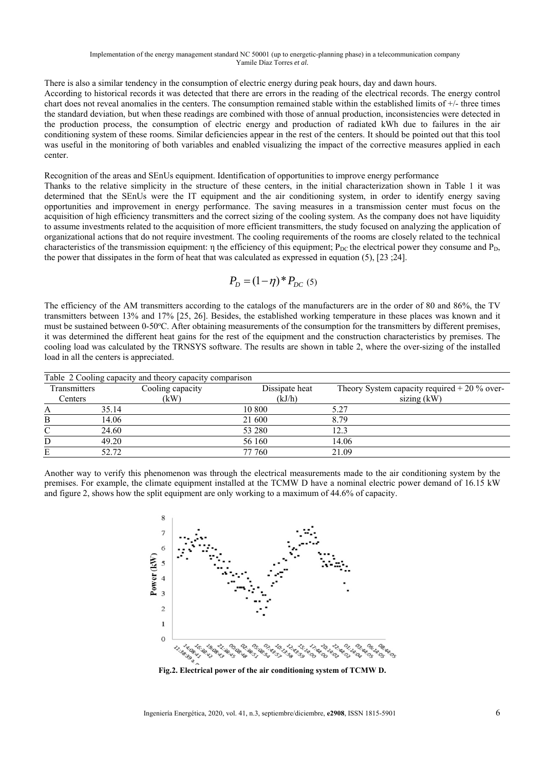There is also a similar tendency in the consumption of electric energy during peak hours, day and dawn hours. According to historical records it was detected that there are errors in the reading of the electrical records. The energy control chart does not reveal anomalies in the centers. The consumption remained stable within the established limits of +/- three times the standard deviation, but when these readings are combined with those of annual production, inconsistencies were detected in the production process, the consumption of electric energy and production of radiated kWh due to failures in the air conditioning system of these rooms. Similar deficiencies appear in the rest of the centers. It should be pointed out that this tool was useful in the monitoring of both variables and enabled visualizing the impact of the corrective measures applied in each center.

Recognition of the areas and SEnUs equipment. Identification of opportunities to improve energy performance

Thanks to the relative simplicity in the structure of these centers, in the initial characterization shown in Table 1 it was determined that the SEnUs were the IT equipment and the air conditioning system, in order to identify energy saving opportunities and improvement in energy performance. The saving measures in a transmission center must focus on the acquisition of high efficiency transmitters and the correct sizing of the cooling system. As the company does not have liquidity to assume investments related to the acquisition of more efficient transmitters, the study focused on analyzing the application of organizational actions that do not require investment. The cooling requirements of the rooms are closely related to the technical characteristics of the transmission equipment:  $\eta$  the efficiency of this equipment; P<sub>DC</sub> the electrical power they consume and P<sub>D</sub>, the power that dissipates in the form of heat that was calculated as expressed in equation (5), [23 ;24].

$$
P_D = (1 - \eta)^* P_{DC} (5)
$$

The efficiency of the AM transmitters according to the catalogs of the manufacturers are in the order of 80 and 86%, the TV transmitters between 13% and 17% [25, 26]. Besides, the established working temperature in these places was known and it must be sustained between 0-50°C. After obtaining measurements of the consumption for the transmitters by different premises, it was determined the different heat gains for the rest of the equipment and the construction characteristics by premises. The cooling load was calculated by the TRNSYS software. The results are shown in table 2, where the over-sizing of the installed load in all the centers is appreciated.

| Table 2 Cooling capacity and theory capacity comparison |       |                  |                |       |                                                 |  |  |  |
|---------------------------------------------------------|-------|------------------|----------------|-------|-------------------------------------------------|--|--|--|
| Transmitters                                            |       | Cooling capacity | Dissipate heat |       | Theory System capacity required $+ 20 \%$ over- |  |  |  |
| Centers                                                 | (kW)  |                  | (kJ/h)         |       | sizing $(kW)$                                   |  |  |  |
| A                                                       | 35.14 |                  | 10 800         | 5.27  |                                                 |  |  |  |
| B                                                       | 14.06 |                  | 21 600         | 879   |                                                 |  |  |  |
|                                                         | 24.60 |                  | 53 280         | 12.3  |                                                 |  |  |  |
|                                                         | 49.20 |                  | 56 160         | 14.06 |                                                 |  |  |  |
|                                                         | 52.72 |                  | 77 760         | 21.09 |                                                 |  |  |  |

Another way to verify this phenomenon was through the electrical measurements made to the air conditioning system by the premises. For example, the climate equipment installed at the TCMW D have a nominal electric power demand of 16.15 kW and figure 2, shows how the split equipment are only working to a maximum of 44.6% of capacity.



**Fig.2. Electrical power of the air conditioning system of TCMW D.**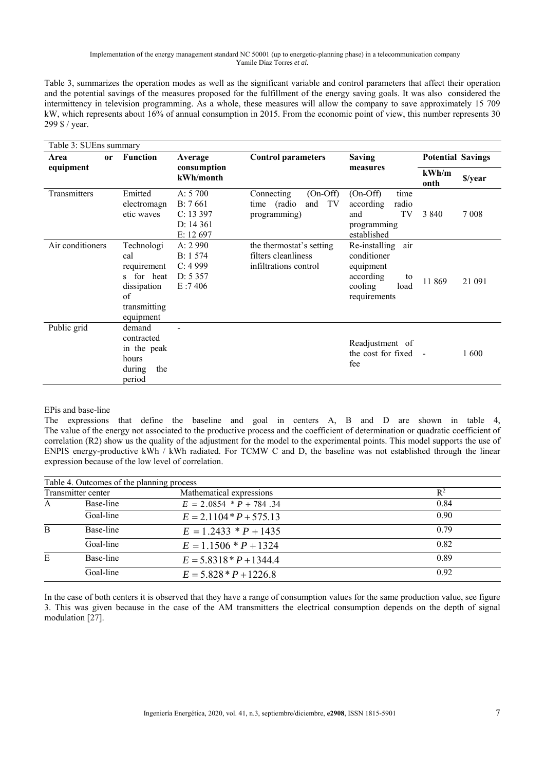Table 3, summarizes the operation modes as well as the significant variable and control parameters that affect their operation and the potential savings of the measures proposed for the fulfillment of the energy saving goals. It was also considered the intermittency in television programming. As a whole, these measures will allow the company to save approximately 15 709 kW, which represents about 16% of annual consumption in 2015. From the economic point of view, this number represents 30 299 \$ / year.

| Table 3: SUEns summary |                                                                                                  |                                                           |                                                                          |                                                                                                        |                          |         |  |
|------------------------|--------------------------------------------------------------------------------------------------|-----------------------------------------------------------|--------------------------------------------------------------------------|--------------------------------------------------------------------------------------------------------|--------------------------|---------|--|
| Area<br><sub>or</sub>  | <b>Function</b>                                                                                  | Average<br>consumption<br>kWh/month                       | <b>Control parameters</b>                                                | <b>Saving</b><br>measures                                                                              | <b>Potential Savings</b> |         |  |
| equipment              |                                                                                                  |                                                           |                                                                          |                                                                                                        | kWh/m<br>onth            | \$/year |  |
| Transmitters           | Emitted<br>electromagn<br>etic waves                                                             | A: $5700$<br>B: 7661<br>C: 13397<br>D: 14361<br>E: 12 697 | $(On-Off)$<br>Connecting<br>TV<br>and<br>time (radio<br>programming)     | $(On-Off)$<br>time<br>according<br>radio<br>and<br>TV<br>programming<br>established                    | 3 8 4 0                  | 7 0 0 8 |  |
| Air conditioners       | Technologi<br>cal<br>requirement<br>s for heat<br>dissipation<br>of<br>transmitting<br>equipment | A: 2 990<br>B: 1 574<br>C: 4999<br>D: 5357<br>E:7406      | the thermostat's setting<br>filters cleanliness<br>infiltrations control | air<br>Re-installing<br>conditioner<br>equipment<br>according<br>to<br>cooling<br>load<br>requirements | 11 869                   | 21 091  |  |
| Public grid            | demand<br>contracted<br>in the peak<br>hours<br>during<br>the<br>period                          |                                                           |                                                                          | Readjustment of<br>the cost for fixed -<br>fee                                                         |                          | 1600    |  |

## EPis and base-line

The expressions that define the baseline and goal in centers A, B and D are shown in table 4, The value of the energy not associated to the productive process and the coefficient of determination or quadratic coefficient of correlation (R2) show us the quality of the adjustment for the model to the experimental points. This model supports the use of ENPIS energy-productive kWh / kWh radiated. For TCMW C and D, the baseline was not established through the linear expression because of the low level of correlation.

|                    | Table 4. Outcomes of the planning process |                           |       |
|--------------------|-------------------------------------------|---------------------------|-------|
| Transmitter center |                                           | Mathematical expressions  | $R^2$ |
| A                  | Base-line                                 | $E = 2.0854 * P + 784.34$ | 0.84  |
|                    | Goal-line                                 | $E = 2.1104*P + 575.13$   | 0.90  |
| B                  | Base-line                                 | $E = 1.2433 * P + 1435$   | 0.79  |
|                    | Goal-line                                 | $E = 1.1506 * P + 1324$   | 0.82  |
| E                  | Base-line                                 | $E = 5.8318 * P + 1344.4$ | 0.89  |
|                    | Goal-line                                 | $E = 5.828 * P + 1226.8$  | 0.92  |

In the case of both centers it is observed that they have a range of consumption values for the same production value, see figure 3. This was given because in the case of the AM transmitters the electrical consumption depends on the depth of signal modulation [27].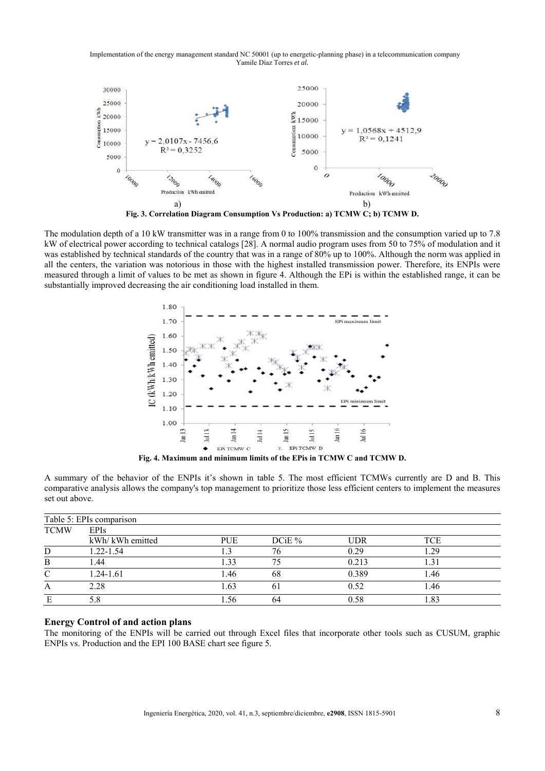

**Fig. 3. Correlation Diagram Consumption Vs Production: a) TCMW C; b) TCMW D.** 

The modulation depth of a 10 kW transmitter was in a range from 0 to 100% transmission and the consumption varied up to 7.8 kW of electrical power according to technical catalogs [28]. A normal audio program uses from 50 to 75% of modulation and it was established by technical standards of the country that was in a range of 80% up to 100%. Although the norm was applied in all the centers, the variation was notorious in those with the highest installed transmission power. Therefore, its ENPIs were measured through a limit of values to be met as shown in figure 4. Although the EPi is within the established range, it can be substantially improved decreasing the air conditioning load installed in them.



**Fig. 4. Maximum and minimum limits of the EPis in TCMW C and TCMW D.** 

A summary of the behavior of the ENPIs it's shown in table 5. The most efficient TCMWs currently are D and B. This comparative analysis allows the company's top management to prioritize those less efficient centers to implement the measures set out above.

| Table 5: EPIs comparison |                  |                  |          |            |     |  |  |
|--------------------------|------------------|------------------|----------|------------|-----|--|--|
| <b>TCMW</b>              | <b>EPIs</b>      |                  |          |            |     |  |  |
|                          | kWh/ kWh emitted | PUE              | DCiE $%$ | <b>UDR</b> | TCE |  |  |
| D                        | 1.22-1.54        |                  | 76       | 0.29       | .29 |  |  |
| B                        | l .44            | $\overline{.}33$ |          | 0.213      |     |  |  |
|                          | $1.24 - 1.61$    | 1.46             | 68       | 0.389      | .46 |  |  |
| А                        | 2.28             | 1.63             | 61       | 0.52       | .46 |  |  |
|                          | 5.8              | . . 56           | 64       | 0.58       | .83 |  |  |

#### **Energy Control of and action plans**

The monitoring of the ENPIs will be carried out through Excel files that incorporate other tools such as CUSUM, graphic ENPIs vs. Production and the EPI 100 BASE chart see figure 5.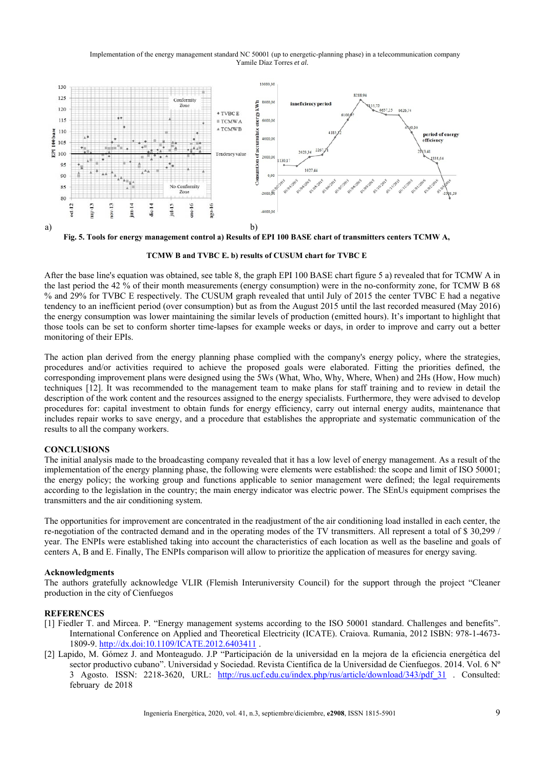

**Fig. 5. Tools for energy management control a) Results of EPI 100 BASE chart of transmitters centers TCMW A,** 

**TCMW B and TVBC E. b) results of CUSUM chart for TVBC E**

After the base line's equation was obtained, see table 8, the graph EPI 100 BASE chart figure 5 a) revealed that for TCMW A in the last period the 42 % of their month measurements (energy consumption) were in the no-conformity zone, for TCMW B 68 % and 29% for TVBC E respectively. The CUSUM graph revealed that until July of 2015 the center TVBC E had a negative tendency to an inefficient period (over consumption) but as from the August 2015 until the last recorded measured (May 2016) the energy consumption was lower maintaining the similar levels of production (emitted hours). It's important to highlight that those tools can be set to conform shorter time-lapses for example weeks or days, in order to improve and carry out a better monitoring of their EPIs.

The action plan derived from the energy planning phase complied with the company's energy policy, where the strategies, procedures and/or activities required to achieve the proposed goals were elaborated. Fitting the priorities defined, the corresponding improvement plans were designed using the 5Ws (What, Who, Why, Where, When) and 2Hs (How, How much) techniques [12]. It was recommended to the management team to make plans for staff training and to review in detail the description of the work content and the resources assigned to the energy specialists. Furthermore, they were advised to develop procedures for: capital investment to obtain funds for energy efficiency, carry out internal energy audits, maintenance that includes repair works to save energy, and a procedure that establishes the appropriate and systematic communication of the results to all the company workers.

## **CONCLUSIONS**

The initial analysis made to the broadcasting company revealed that it has a low level of energy management. As a result of the implementation of the energy planning phase, the following were elements were established: the scope and limit of ISO 50001; the energy policy; the working group and functions applicable to senior management were defined; the legal requirements according to the legislation in the country; the main energy indicator was electric power. The SEnUs equipment comprises the transmitters and the air conditioning system.

The opportunities for improvement are concentrated in the readjustment of the air conditioning load installed in each center, the re-negotiation of the contracted demand and in the operating modes of the TV transmitters. All represent a total of \$ 30,299 / year. The ENPIs were established taking into account the characteristics of each location as well as the baseline and goals of centers A, B and E. Finally, The ENPIs comparison will allow to prioritize the application of measures for energy saving.

## **Acknowledgments**

The authors gratefully acknowledge VLIR (Flemish Interuniversity Council) for the support through the project "Cleaner production in the city of Cienfuegos

## **REFERENCES**

- [1] Fiedler T. and Mircea. P. "Energy management systems according to the ISO 50001 standard. Challenges and benefits". International Conference on Applied and Theoretical Electricity (ICATE). Craiova. Rumania, 2012 ISBN: 978-1-4673- 1809-9. http://dx.doi:10.1109/ICATE.2012.6403411 .
- [2] Lapido, M. Gómez J. and Monteagudo. J.P "Participación de la universidad en la mejora de la eficiencia energética del sector productivo cubano". Universidad y Sociedad. Revista Científica de la Universidad de Cienfuegos. 2014. Vol. 6 Nº 3 Agosto. ISSN: 2218-3620, URL: http://rus.ucf.edu.cu/index.php/rus/article/download/343/pdf\_31 . Consulted: february de 2018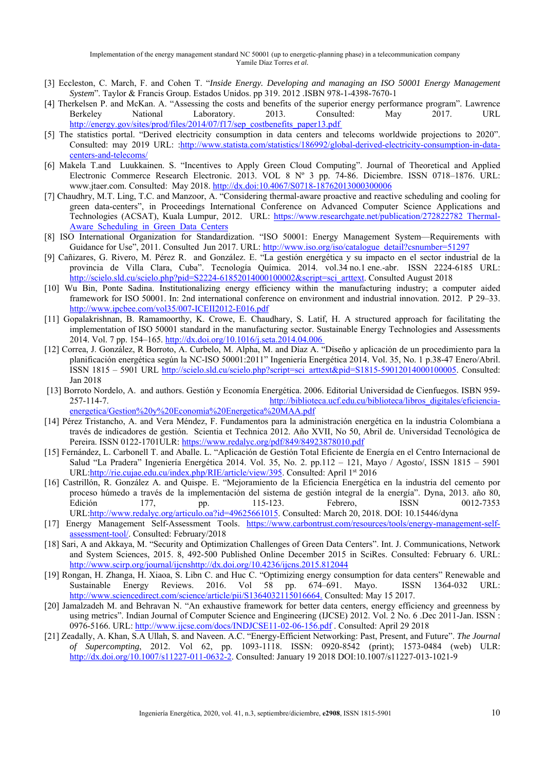- [3] Eccleston, C. March, F. and Cohen T. "*Inside Energy. Developing and managing an ISO 50001 Energy Management System*". Taylor & Francis Group. Estados Unidos. pp 319. 2012 .ISBN 978-1-4398-7670-1
- [4] Therkelsen P. and McKan. A. "Assessing the costs and benefits of the superior energy performance program". Lawrence Berkeley National Laboratory. 2013. Consulted: May 2017. URL http://energy.gov/sites/prod/<u>files/2014/07/f17/sep\_costbenefits\_paper13.pdf</u>
- [5] The statistics portal. "Derived electricity consumption in data centers and telecoms worldwide projections to 2020". Consulted: may 2019 URL: :http://www.statista.com/statistics/186992/global-derived-electricity-consumption-in-datacenters-and-telecoms/
- [6] Makela T.and Luukkainen. S. "Incentives to Apply Green Cloud Computing". Journal of Theoretical and Applied Electronic Commerce Research Electronic. 2013. VOL 8 Nº 3 pp. 74-86. Diciembre. ISSN 0718–1876. URL: www.jtaer.com. Consulted: May 2018. http://dx.doi:10.4067/S0718-18762013000300006
- [7] Chaudhry, M.T. Ling, T.C. and Manzoor, A. "Considering thermal-aware proactive and reactive scheduling and cooling for green data-centers", in Proceedings International Conference on Advanced Computer Science Applications and Technologies (ACSAT), Kuala Lumpur, 2012. URL: https://www.researchgate.net/publication/272822782\_Thermal-Aware Scheduling in Green Data Centers
- [8] ISO International Organization for Standardization. "ISO 50001: Energy Management System—Requirements with Guidance for Use", 2011. Consulted Jun 2017. URL: http://www.iso.org/iso/catalogue\_detail?csnumber=51297
- [9] Cañizares, G. Rivero, M. Pérez R. and González. E. "La gestión energética y su impacto en el sector industrial de la provincia de Villa Clara, Cuba". Tecnología Química. 2014. vol.34 no.1 ene.-abr. ISSN 2224-6185 URL: http://scielo.sld.cu/scielo.php?pid=S2224-61852014000100002&script=sci\_arttext. Consulted August 2018
- [10] Wu Bin, Ponte Sadina. Institutionalizing energy efficiency within the manufacturing industry; a computer aided framework for ISO 50001. In: 2nd international conference on environment and industrial innovation. 2012. P 29–33. http://www.ipcbee.com/vol35/007-ICEII2012-E016.pdf
- [11] Gopalakrishnan, B. Ramamoorthy, K. Crowe, E. Chaudhary, S. Latif, H. A structured approach for facilitating the implementation of ISO 50001 standard in the manufacturing sector. Sustainable Energy Technologies and Assessments 2014. Vol. 7 pp. 154–165. http://dx.doi.org/10.1016/j.seta.2014.04.006
- [12] Correa, J. González, R Borroto, A. Curbelo, M. Alpha, M. and Díaz A. "Diseño y aplicación de un procedimiento para la planificación energética según la NC-ISO 50001:2011" Ingeniería Energética 2014. Vol. 35, No. 1 p.38-47 Enero/Abril. ISSN 1815 – 5901 URL http://scielo.sld.cu/scielo.php?script=sci\_arttext&pid=S1815-59012014000100005. Consulted: Jan 2018
- [13] Borroto Nordelo, A. and authors. Gestión y Economía Energética. 2006. Editorial Universidad de Cienfuegos. ISBN 959- 257-114-7. http://biblioteca.ucf.edu.cu/biblioteca/libros\_digitales/eficienciaenergetica/Gestion%20y%20Economia%20Energetica%20MAA.pdf
- [14] Pérez Tristancho, A. and Vera Méndez, F. Fundamentos para la administración energética en la industria Colombiana a través de indicadores de gestión. Scientia et Technica 2012. Año XVII, No 50, Abril de. Universidad Tecnológica de Pereira. ISSN 0122-1701ULR: https://www.redalyc.org/pdf/849/84923878010.pdf
- [15] Fernández, L. Carbonell T. and Aballe. L. "Aplicación de Gestión Total Eficiente de Energía en el Centro Internacional de Salud "La Pradera" Ingeniería Energética 2014. Vol. 35, No. 2. pp.112 – 121, Mayo / Agosto/, ISSN 1815 – 5901 URL:http://rie.cujae.edu.cu/index.php/RIE/article/view/395. Consulted: April 1st 2016
- [16] Castrillón, R. González A. and Quispe. E. "Mejoramiento de la Eficiencia Energética en la industria del cemento por proceso húmedo a través de la implementación del sistema de gestión integral de la energía". Dyna, 2013. año 80, Edición 177, pp. 115-123. Febrero, ISSN 0012-7353 URL:http://www.redalyc.org/articulo.oa?id=49625661015. Consulted: March 20, 2018. DOI: 10.15446/dyna
- [17] Energy Management Self-Assessment Tools. https://www.carbontrust.com/resources/tools/energy-management-selfassessment-tool/. Consulted: February/2018
- [18] Sari, A and Akkaya, M. "Security and Optimization Challenges of Green Data Centers". Int. J. Communications, Network and System Sciences, 2015. 8, 492-500 Published Online December 2015 in SciRes. Consulted: February 6. URL: http://www.scirp.org/journal/ijcnshttp://dx.doi.org/10.4236/ijcns.2015.812044
- [19] Rongan, H. Zhanga, H. Xiaoa, S. Libn C. and Huc C. "Optimizing energy consumption for data centers" Renewable and Sustainable Energy Reviews. 2016. Vol 58 pp. 674–691. Mayo. ISSN 1364-032 URL: http://www.sciencedirect.com/science/article/pii/S1364032115016664. Consulted: May 15 2017.
- [20] Jamalzadeh M. and Behravan N. "An exhaustive framework for better data centers, energy efficiency and greenness by using metrics". Indian Journal of Computer Science and Engineering (IJCSE) 2012. Vol. 2 No. 6 .Dec 2011-Jan. ISSN : 0976-5166. URL: http://www.ijcse.com/docs/INDJCSE11-02-06-156.pdf . Consulted: April 29 2018
- [21] Zeadally, A. Khan, S.A Ullah, S. and Naveen. A.C. "Energy-Efficient Networking: Past, Present, and Future". *The Journal of Supercompting*, 2012. Vol 62, pp. 1093-1118. ISSN: 0920-8542 (print); 1573-0484 (web) ULR: http://dx.doi.org/10.1007/s11227-011-0632-2. Consulted: January 19 2018 DOI:10.1007/s11227-013-1021-9